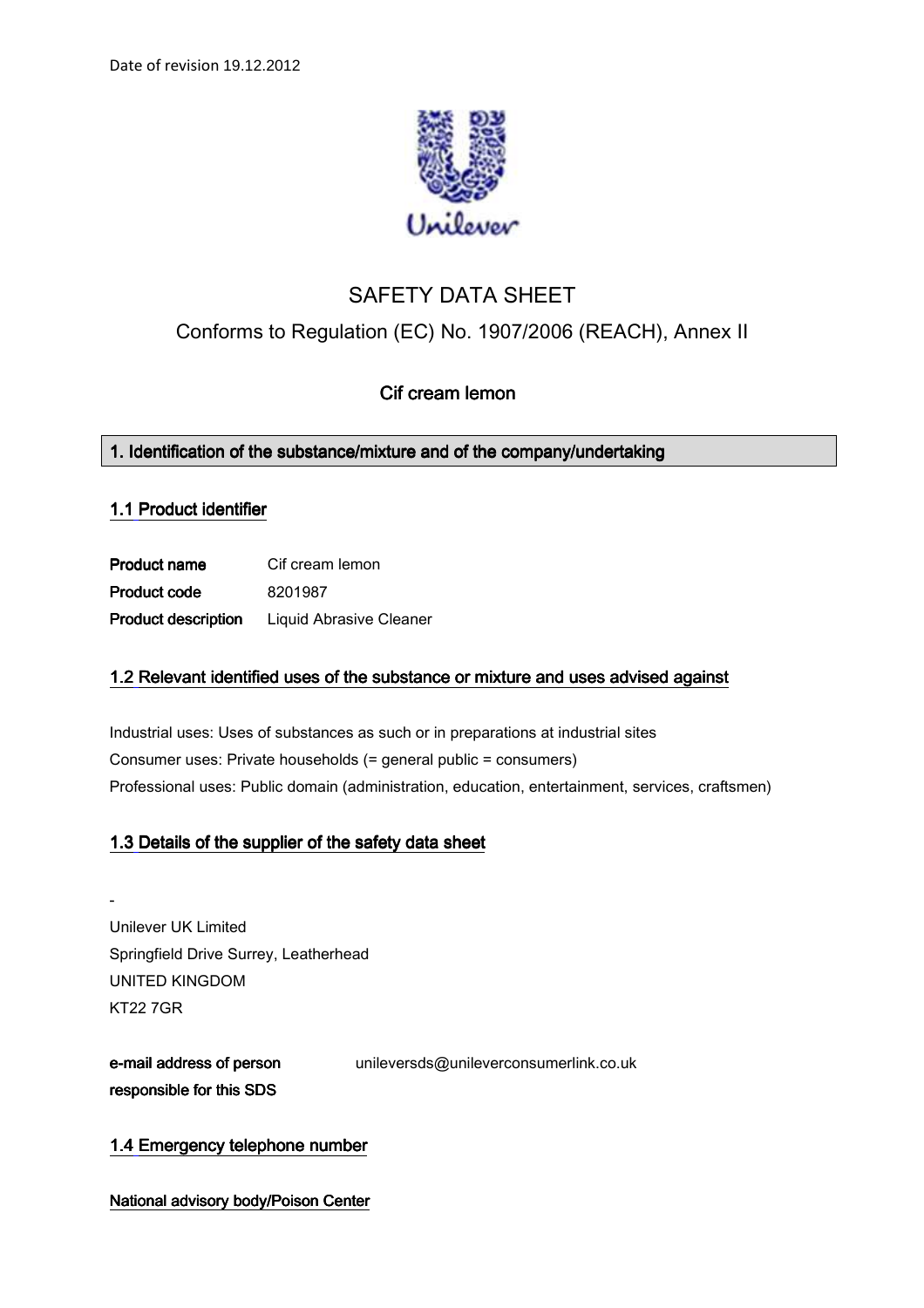

# SAFETY DATA SHEET

## Conforms to Regulation (EC) No. 1907/2006 (REACH), Annex II

## Cif cream lemon

## 1. Identification of the substance/mixture and of the company/undertaking

## 1.1 Product identifier

**Product name** Cif cream lemon Product code 8201987 Product description Liquid Abrasive Cleaner

## 1.2 Relevant identified uses of the substance or mixture and uses advised against

Industrial uses: Uses of substances as such or in preparations at industrial sites Consumer uses: Private households (= general public = consumers) Professional uses: Public domain (administration, education, entertainment, services, craftsmen)

## 1.3 Details of the supplier of the safety data sheet

- Unilever UK Limited Springfield Drive Surrey, Leatherhead UNITED KINGDOM KT22 7GR

e-mail address of person responsible for this SDS unileversds@unileverconsumerlink.co.uk

## 1.4 Emergency telephone number

National advisory body/Poison Center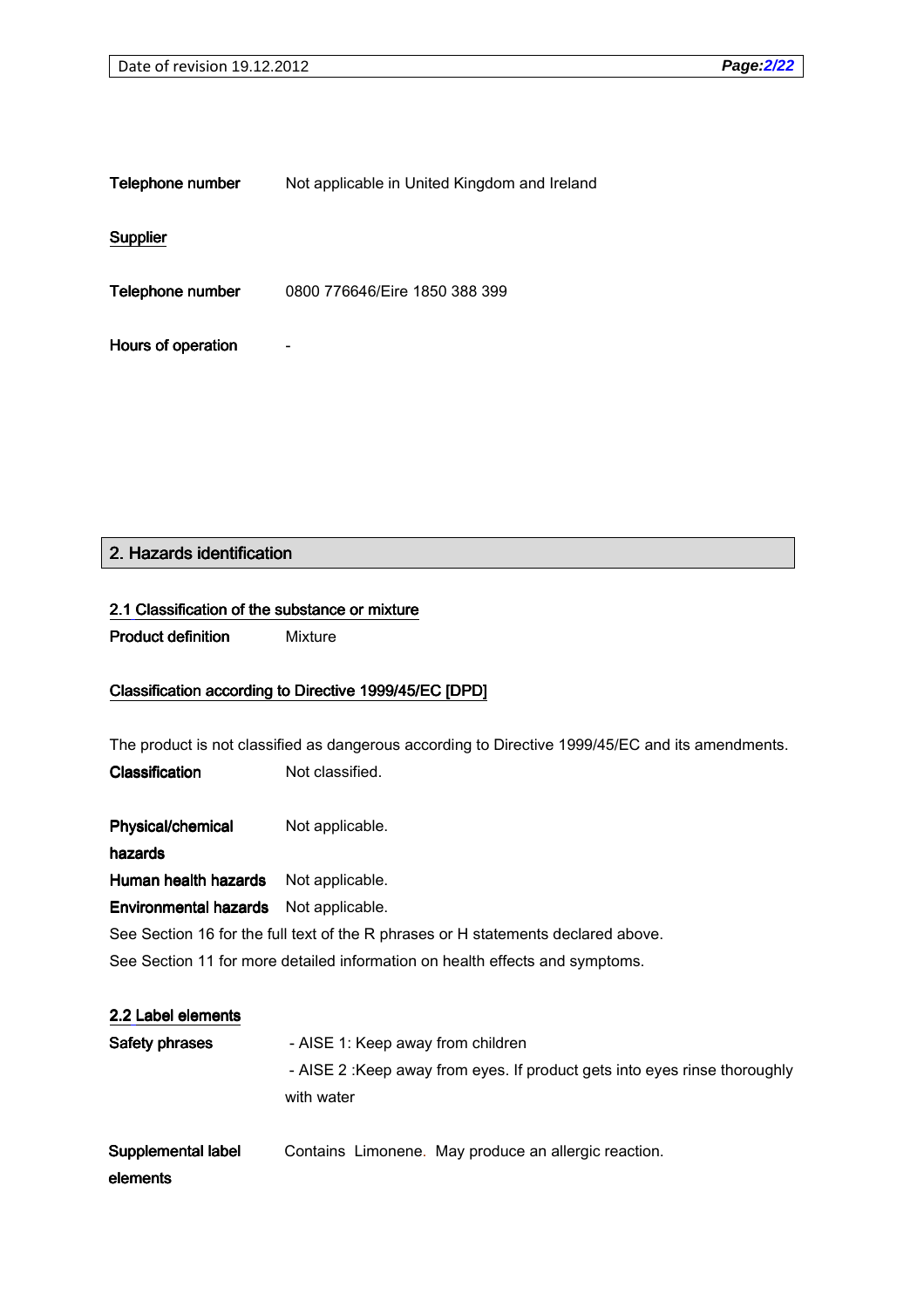| Telephone number | Not applicable in United Kingdom and Ireland |
|------------------|----------------------------------------------|
|------------------|----------------------------------------------|

**Supplier** 

Telephone number 0800 776646/Eire 1850 388 399

Hours of operation -

## 2. Hazards identification

#### 2.1 Classification of the substance or mixture

**Product definition** Mixture

### Classification according to Directive 1999/45/EC [DPD]

The product is not classified as dangerous according to Directive 1999/45/EC and its amendments. Classification Not classified.

Physical/chemical Not applicable.

hazards

Human health hazards Not applicable.

Environmental hazards Not applicable.

See Section 16 for the full text of the R phrases or H statements declared above.

See Section 11 for more detailed information on health effects and symptoms.

## 2.2 Label elements

| Safety phrases | - AISE 1: Keep away from children                                         |
|----------------|---------------------------------------------------------------------------|
|                | - AISE 2: Keep away from eyes. If product gets into eyes rinse thoroughly |
|                | with water                                                                |
|                |                                                                           |

Supplemental label Contains Limonene. May produce an allergic reaction.

### elements elements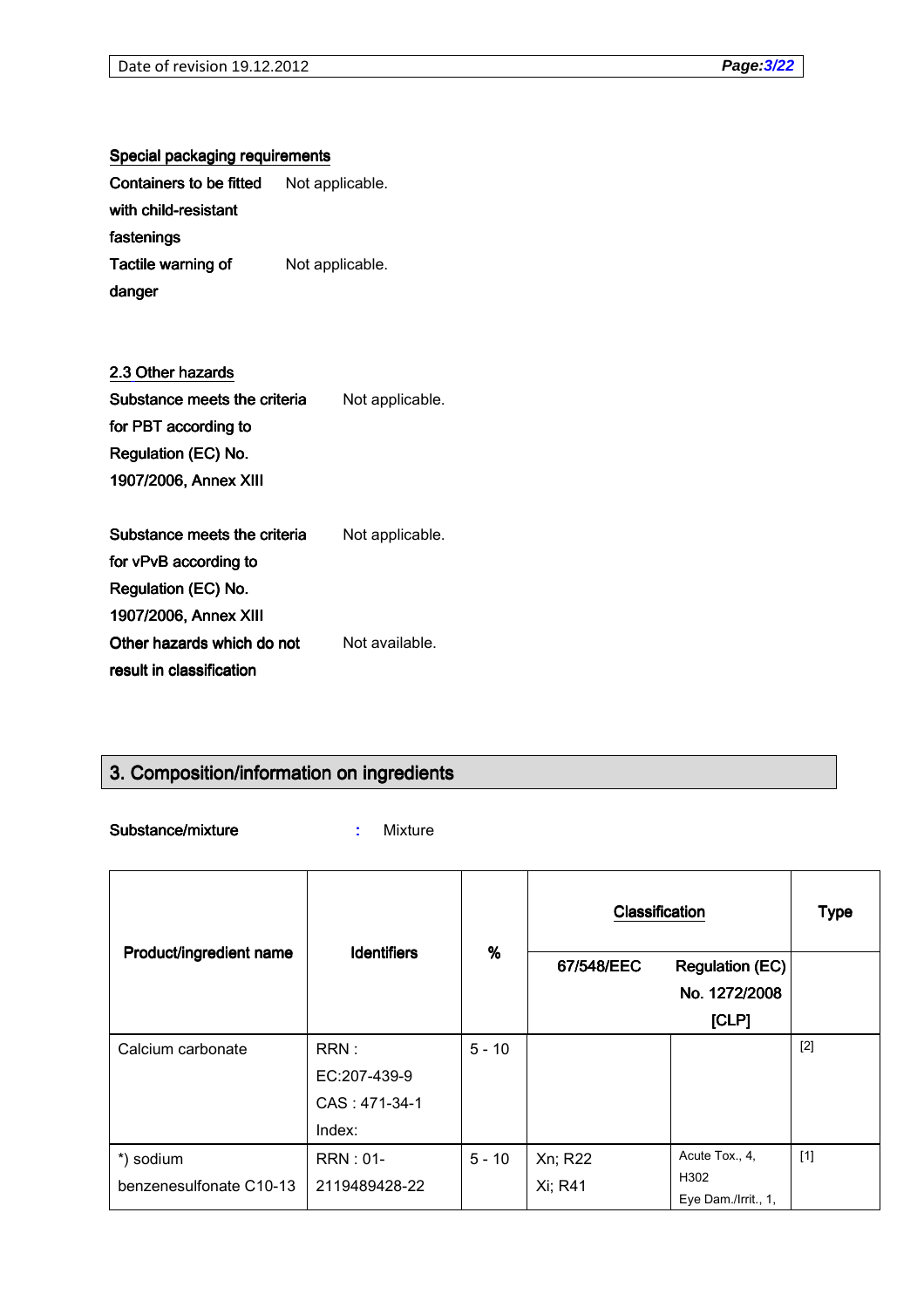## Special packaging requirements

| Containers to be fitted   | Not applicable. |
|---------------------------|-----------------|
| with child-resistant      |                 |
| fastenings                |                 |
| <b>Tactile warning of</b> | Not applicable. |
| danger                    |                 |

## 2.3 Other hazards

| Substance meets the criteria | Not applicable. |
|------------------------------|-----------------|
| for PBT according to         |                 |
| Regulation (EC) No.          |                 |
| 1907/2006, Annex XIII        |                 |
|                              |                 |
| Substance meets the criteria | Not applicable. |

for vPvB according to Regulation (EC) No. 1907/2006, Annex XIII 1907/2006, Annex XIII Other hazards which do not result in classification Not available.

## 3. Composition/information on ingredients

Substance/mixture : Mixture

| Product/ingredient name | <b>Identifiers</b> | %        | Classification |                        | <b>Type</b> |
|-------------------------|--------------------|----------|----------------|------------------------|-------------|
|                         |                    |          | 67/548/EEC     | <b>Regulation (EC)</b> |             |
|                         |                    |          |                | No. 1272/2008          |             |
|                         |                    |          |                | [CLP]                  |             |
| Calcium carbonate       | RRN:               | $5 - 10$ |                |                        | $[2]$       |
|                         | EC:207-439-9       |          |                |                        |             |
|                         | CAS: 471-34-1      |          |                |                        |             |
|                         | Index:             |          |                |                        |             |
| *) sodium               | <b>RRN: 01-</b>    | $5 - 10$ | Xn; R22        | Acute Tox., 4,         | $[1]$       |
| benzenesulfonate C10-13 | 2119489428-22      |          | Xi; R41        | H302                   |             |
|                         |                    |          |                | Eye Dam./Irrit., 1,    |             |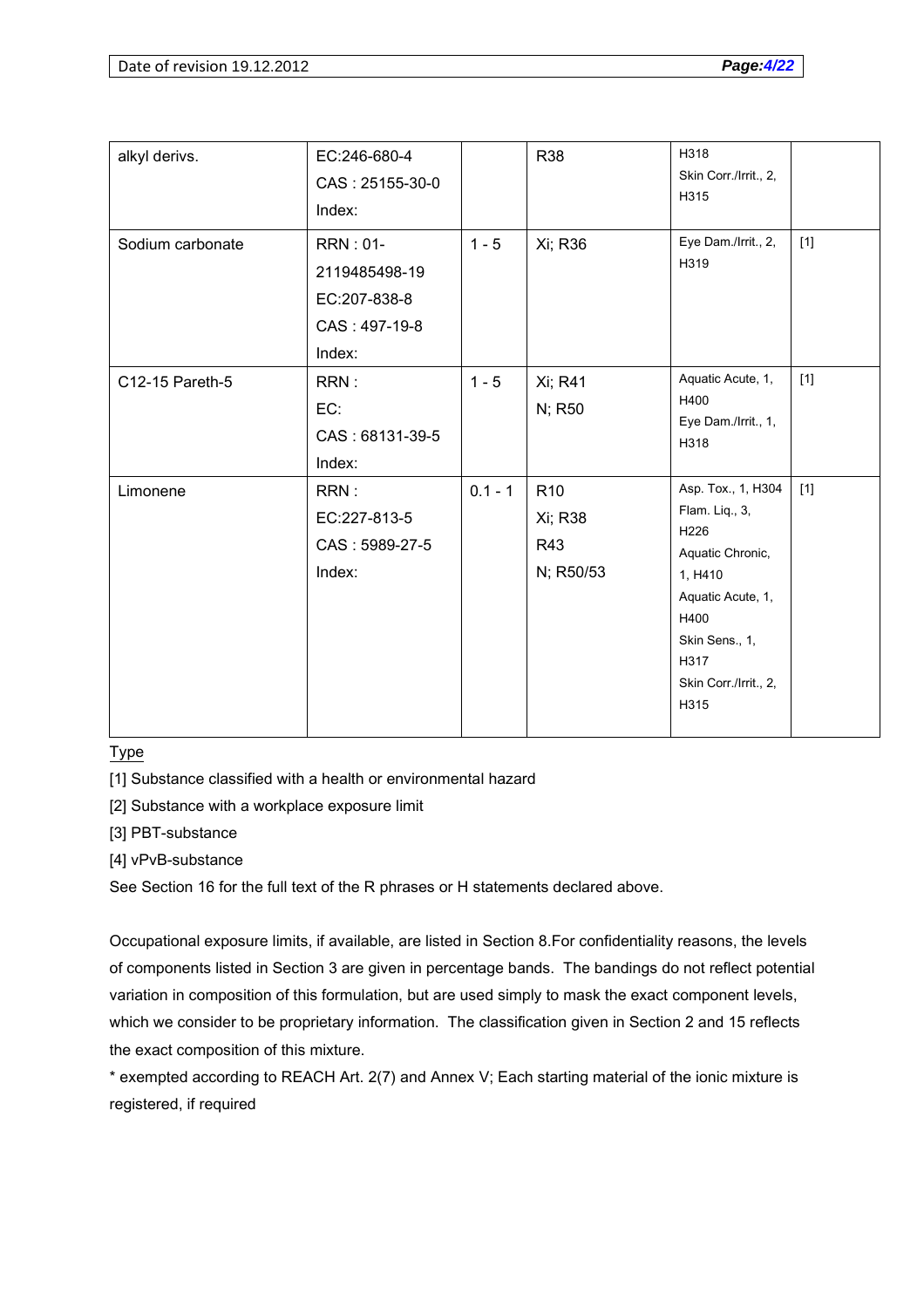| alkyl derivs.    | EC:246-680-4<br>CAS: 25155-30-0<br>Index:                                   |           | R38                                            | H318<br>Skin Corr./Irrit., 2,<br>H315                                                                                                                               |       |
|------------------|-----------------------------------------------------------------------------|-----------|------------------------------------------------|---------------------------------------------------------------------------------------------------------------------------------------------------------------------|-------|
| Sodium carbonate | <b>RRN: 01-</b><br>2119485498-19<br>EC:207-838-8<br>CAS: 497-19-8<br>Index: | $1 - 5$   | Xi; R36                                        | Eye Dam./Irrit., 2,<br>H319                                                                                                                                         | $[1]$ |
| C12-15 Pareth-5  | RRN:<br>EC:<br>CAS: 68131-39-5<br>Index:                                    | $1 - 5$   | Xi; R41<br>N; R50                              | Aquatic Acute, 1,<br>H400<br>Eye Dam./Irrit., 1,<br>H318                                                                                                            | $[1]$ |
| Limonene         | RRN:<br>EC:227-813-5<br>CAS: 5989-27-5<br>Index:                            | $0.1 - 1$ | R <sub>10</sub><br>Xi; R38<br>R43<br>N; R50/53 | Asp. Tox., 1, H304<br>Flam. Liq., 3,<br>H226<br>Aquatic Chronic,<br>1, H410<br>Aquatic Acute, 1,<br>H400<br>Skin Sens., 1,<br>H317<br>Skin Corr./Irrit., 2,<br>H315 | $[1]$ |

Type

[1] Substance classified with a health or environmental hazard

[2] Substance with a workplace exposure limit

[3] PBT-substance

[4] vPvB-substance

See Section 16 for the full text of the R phrases or H statements declared above.

Occupational exposure limits, if available, are listed in Section 8.For confidentiality reasons, the levels of components listed in Section 3 are given in percentage bands. The bandings do not reflect potential variation in composition of this formulation, but are used simply to mask the exact component levels, which we consider to be proprietary information. The classification given in Section 2 and 15 reflects the exact composition of this mixture.

\* exempted according to REACH Art. 2(7) and Annex V; Each starting material of the ionic mixture is registered, if required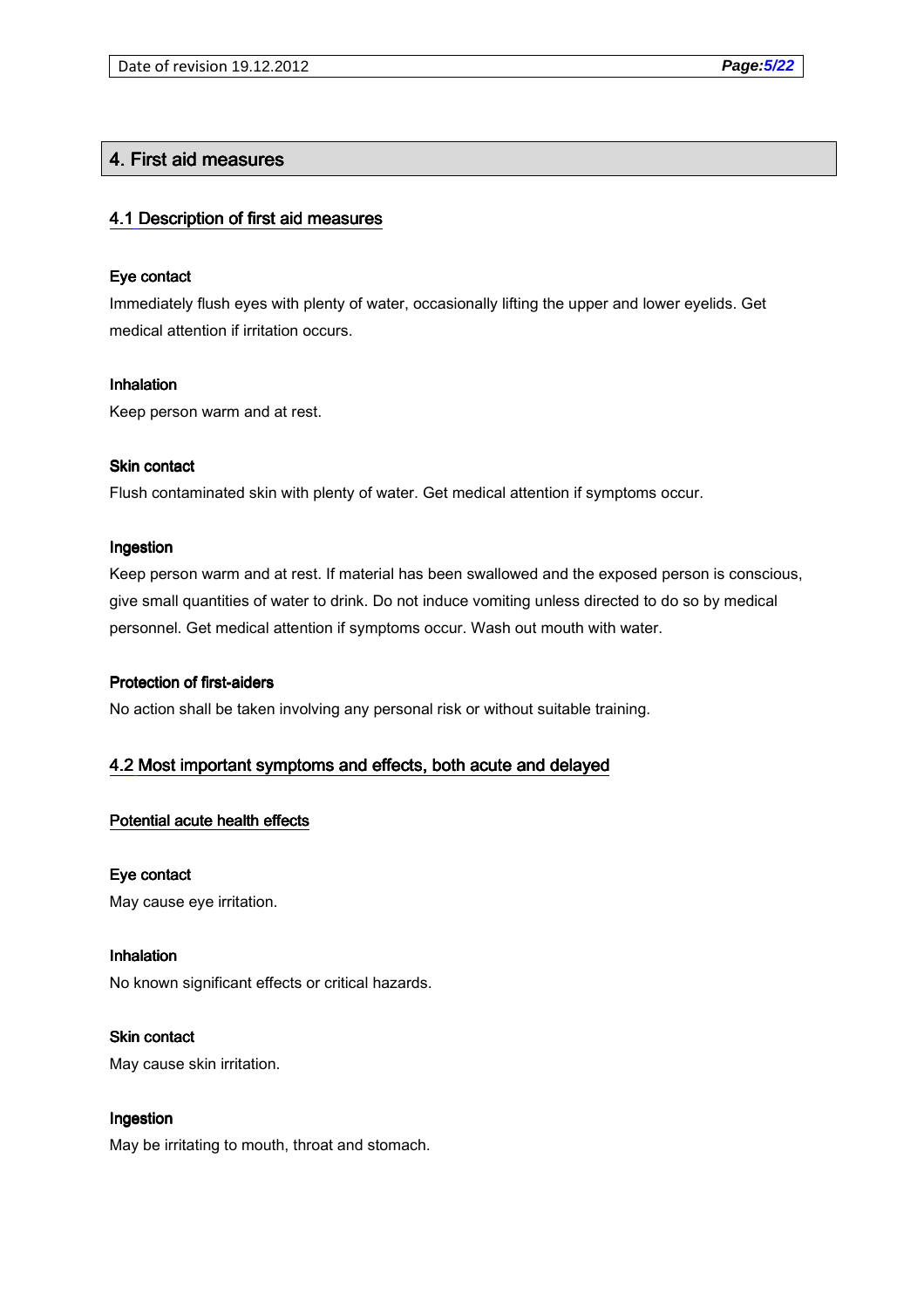## 4. First aid measures

### 4.1 Description of first aid measures

### Eye contact

Immediately flush eyes with plenty of water, occasionally lifting the upper and lower eyelids. Get medical attention if irritation occurs.

#### **Inhalation**

Keep person warm and at rest.

### Skin contact

Flush contaminated skin with plenty of water. Get medical attention if symptoms occur.

#### **Ingestion**

Keep person warm and at rest. If material has been swallowed and the exposed person is conscious, give small quantities of water to drink. Do not induce vomiting unless directed to do so by medical personnel. Get medical attention if symptoms occur. Wash out mouth with water.

### Protection of first-aiders

No action shall be taken involving any personal risk or without suitable training.

### 4.2 Most important symptoms and effects, both acute and delayed

### Potential acute health effects

### Eye contact

May cause eye irritation.

### Inhalation

No known significant effects or critical hazards.

#### **Skin contact**

May cause skin irritation.

### **Ingestion**

May be irritating to mouth, throat and stomach.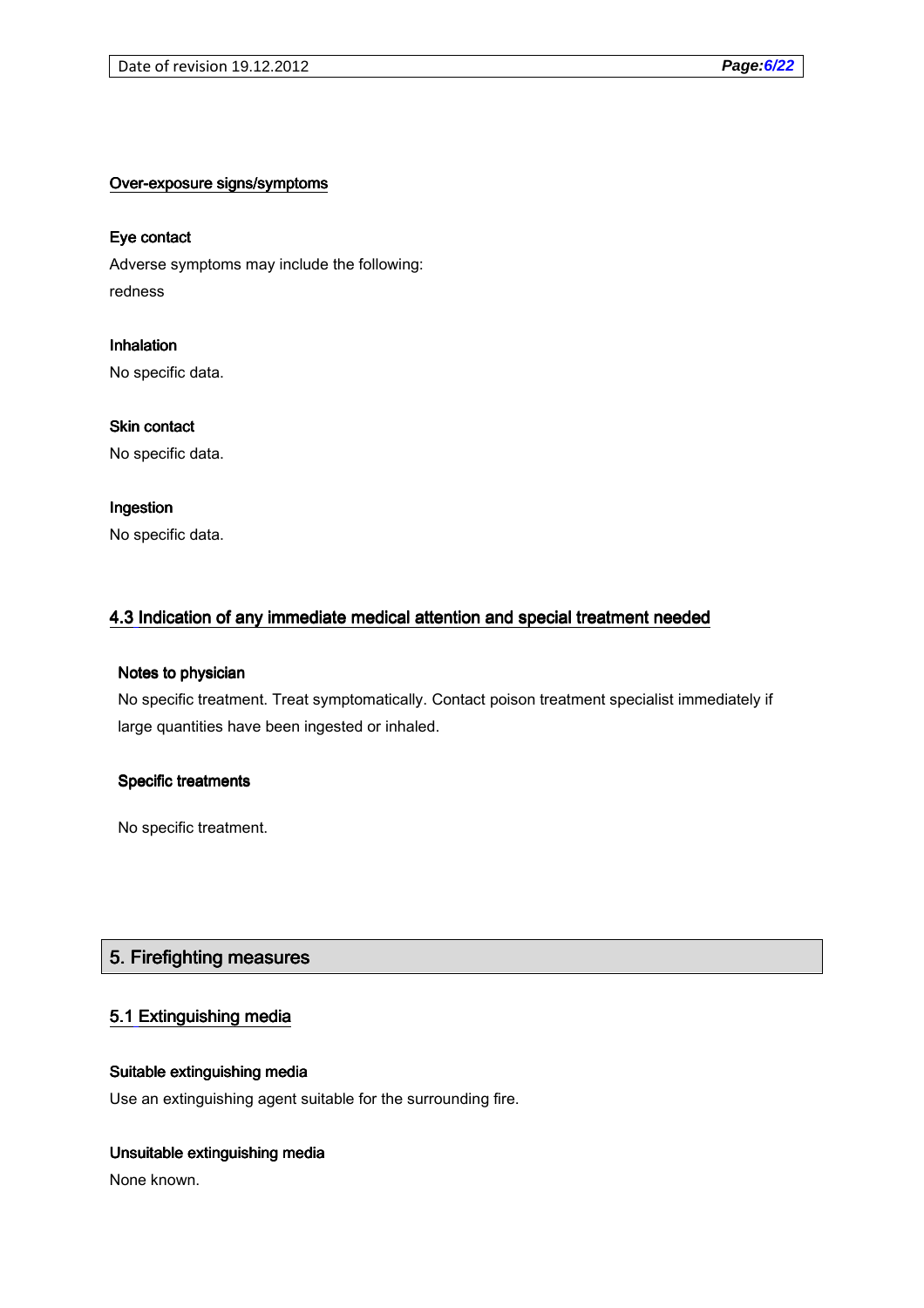### Over-exposure signs/symptoms

### Eye contact

Adverse symptoms may include the following: redness

Inhalation No specific data.

Skin contact No specific data.

### Ingestion

No specific data.

## 4.3 Indication of any immediate medical attention and special treatment needed

### Notes to physician

No specific treatment. Treat symptomatically. Contact poison treatment specialist immediately if large quantities have been ingested or inhaled.

### Specific treatments

No specific treatment.

## 5. Firefighting measures

## 5.1 Extinguishing media

### Suitable extinguishing media

Use an extinguishing agent suitable for the surrounding fire.

### Unsuitable extinguishing media

None known.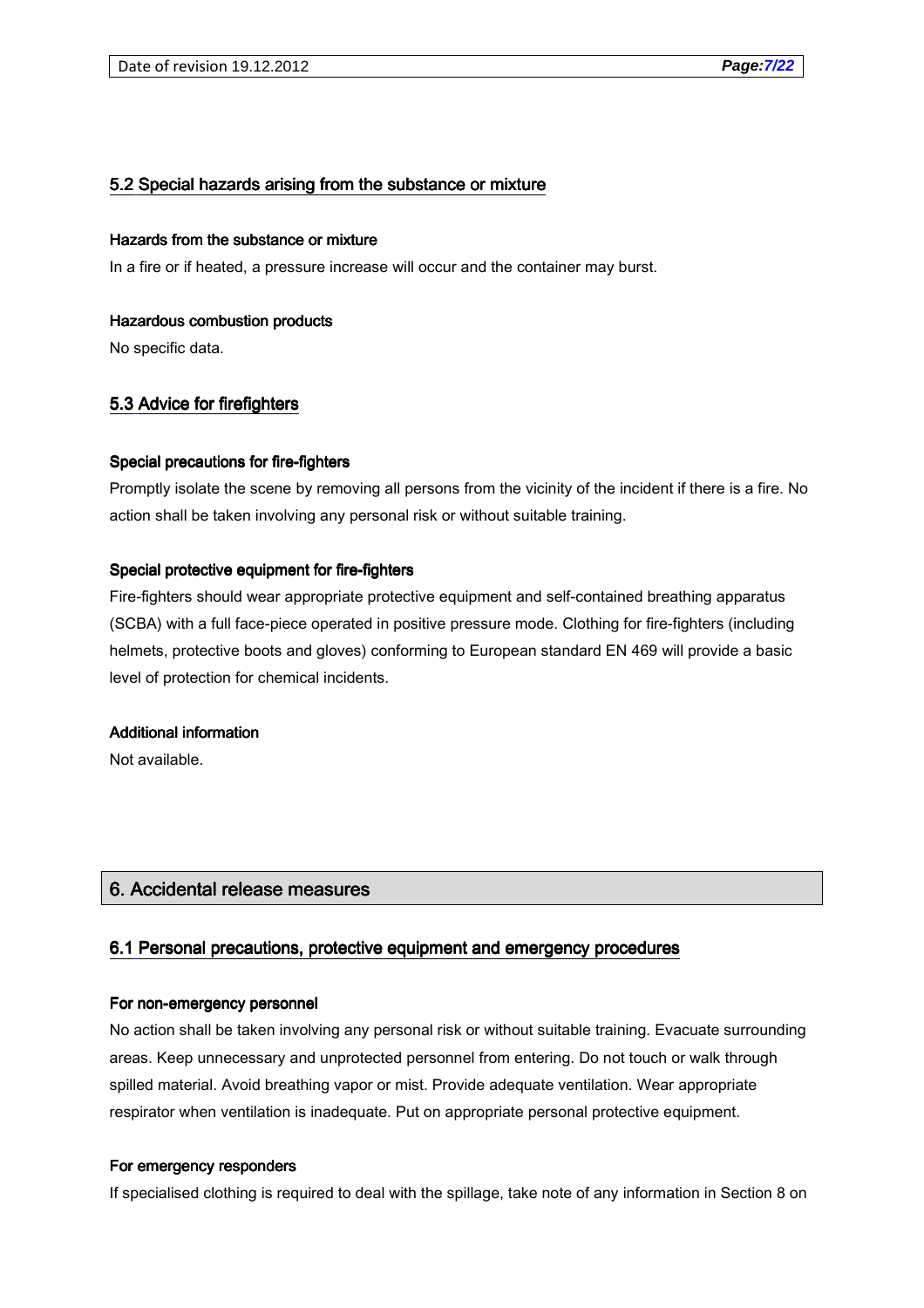### 5.2 Special hazards arising from the substance or mixture

#### Hazards from the substance or mixture

In a fire or if heated, a pressure increase will occur and the container may burst.

#### Hazardous combustion products

No specific data.

### 5.3 Advice for firefighters

#### Special precautions for fire-fighters

Promptly isolate the scene by removing all persons from the vicinity of the incident if there is a fire. No action shall be taken involving any personal risk or without suitable training.

#### Special protective equipment for fire-fighters

Fire-fighters should wear appropriate protective equipment and self-contained breathing apparatus (SCBA) with a full face-piece operated in positive pressure mode. Clothing for fire-fighters (including helmets, protective boots and gloves) conforming to European standard EN 469 will provide a basic level of protection for chemical incidents.

#### Additional information

Not available.

### 6. Accidental release measures

#### 6.1 Personal precautions, protective equipment and emergency procedures

#### For non-emergency personnel

No action shall be taken involving any personal risk or without suitable training. Evacuate surrounding areas. Keep unnecessary and unprotected personnel from entering. Do not touch or walk through spilled material. Avoid breathing vapor or mist. Provide adequate ventilation. Wear appropriate respirator when ventilation is inadequate. Put on appropriate personal protective equipment.

#### For emergency responders

If specialised clothing is required to deal with the spillage, take note of any information in Section 8 on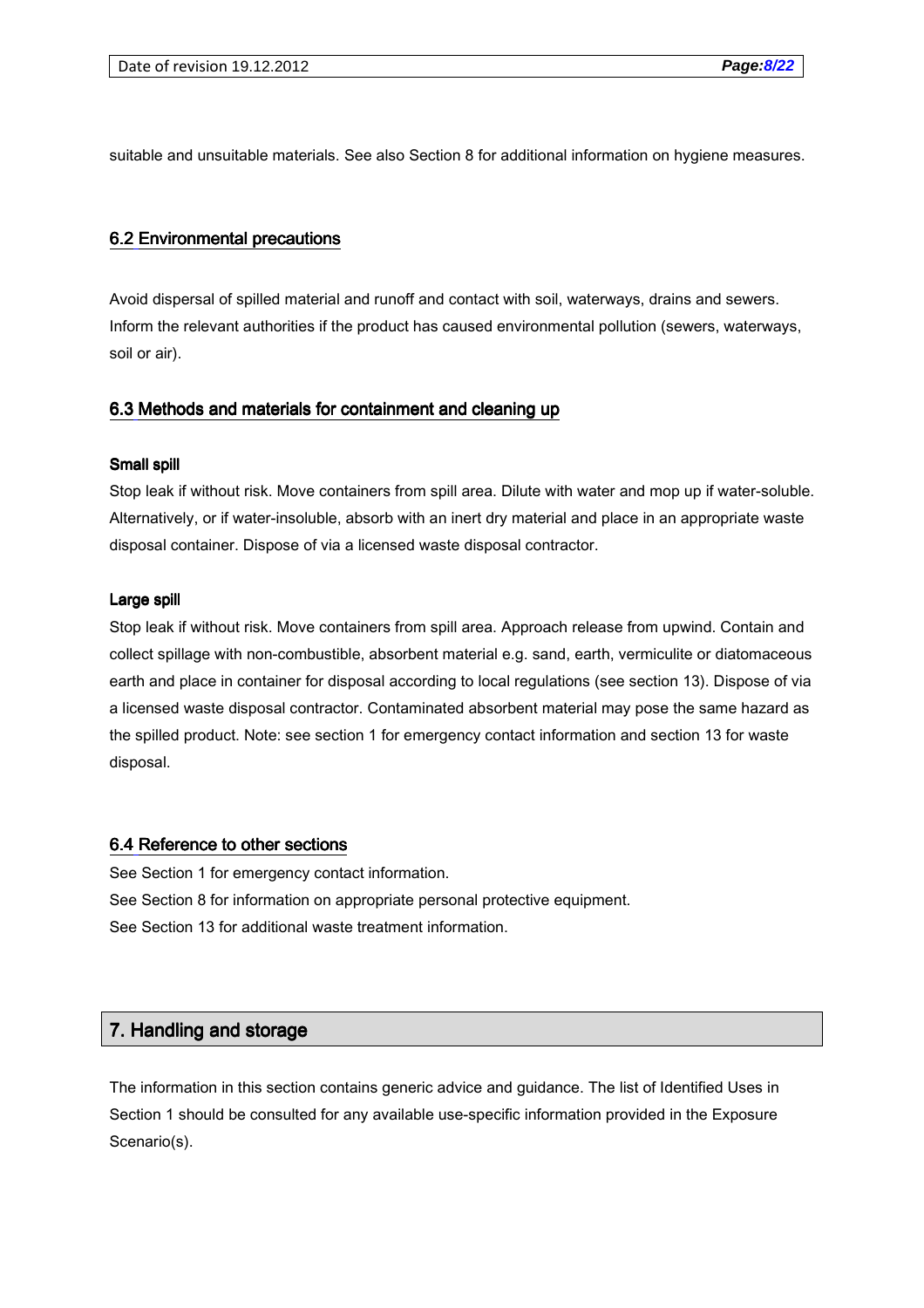suitable and unsuitable materials. See also Section 8 for additional information on hygiene measures.

#### 6.2 Environmental precautions

Avoid dispersal of spilled material and runoff and contact with soil, waterways, drains and sewers. Inform the relevant authorities if the product has caused environmental pollution (sewers, waterways, soil or air).

#### 6.3 Methods and materials for containment and cleaning up

#### Small spill

Stop leak if without risk. Move containers from spill area. Dilute with water and mop up if water-soluble. Alternatively, or if water-insoluble, absorb with an inert dry material and place in an appropriate waste disposal container. Dispose of via a licensed waste disposal contractor.

#### Large spill

Stop leak if without risk. Move containers from spill area. Approach release from upwind. Contain and collect spillage with non-combustible, absorbent material e.g. sand, earth, vermiculite or diatomaceous earth and place in container for disposal according to local regulations (see section 13). Dispose of via a licensed waste disposal contractor. Contaminated absorbent material may pose the same hazard as the spilled product. Note: see section 1 for emergency contact information and section 13 for waste disposal.

#### 6.4 Reference to other sections

See Section 1 for emergency contact information. See Section 8 for information on appropriate personal protective equipment. See Section 13 for additional waste treatment information.

## 7. Handling and storage

The information in this section contains generic advice and guidance. The list of Identified Uses in Section 1 should be consulted for any available use-specific information provided in the Exposure Scenario(s).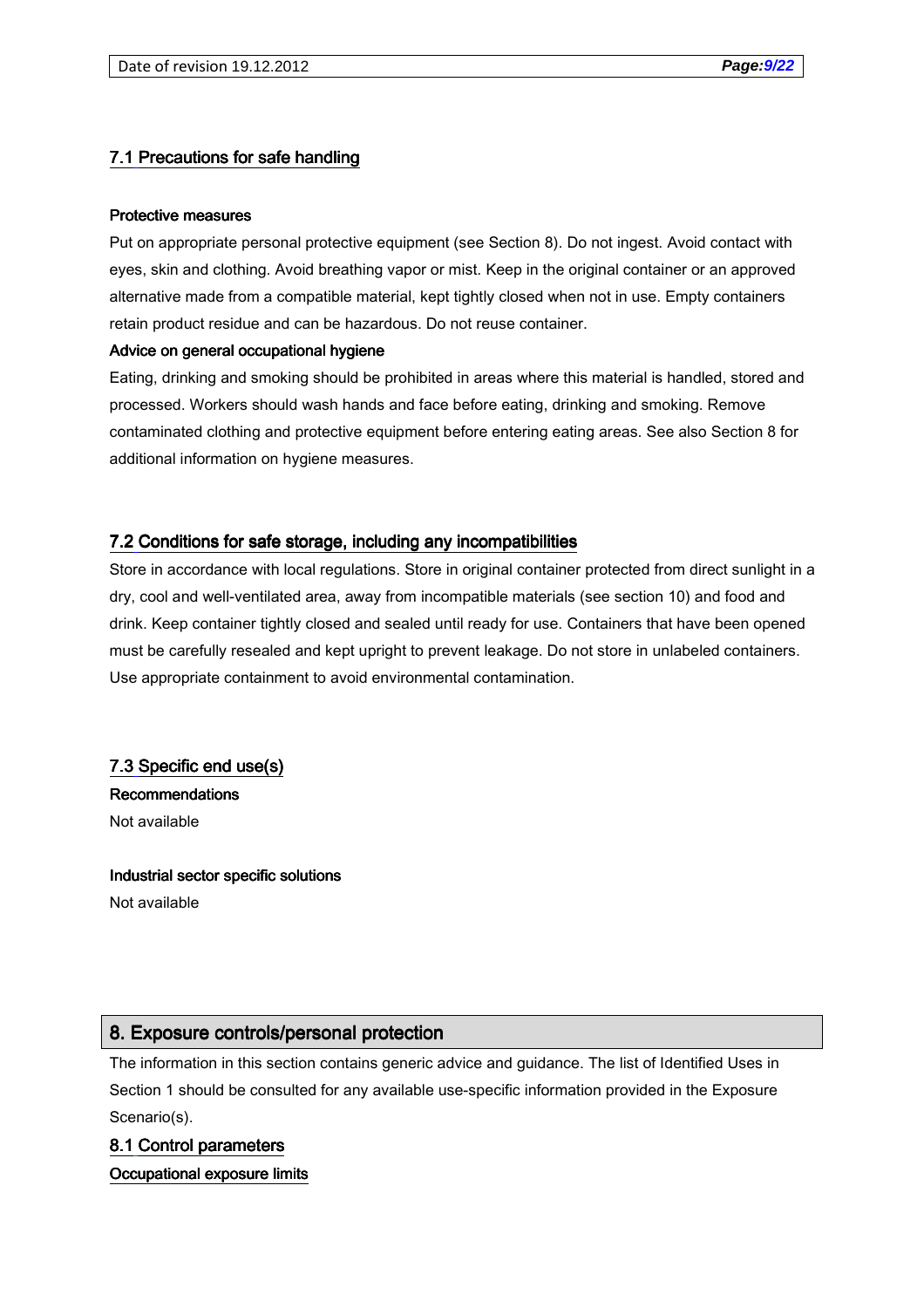## 7.1 Precautions for safe handling

#### Protective measures

Put on appropriate personal protective equipment (see Section 8). Do not ingest. Avoid contact with eyes, skin and clothing. Avoid breathing vapor or mist. Keep in the original container or an approved alternative made from a compatible material, kept tightly closed when not in use. Empty containers retain product residue and can be hazardous. Do not reuse container.

#### Advice on general occupational hygiene

Eating, drinking and smoking should be prohibited in areas where this material is handled, stored and processed. Workers should wash hands and face before eating, drinking and smoking. Remove contaminated clothing and protective equipment before entering eating areas. See also Section 8 for additional information on hygiene measures.

### 7.2 Conditions for safe storage, including any incompatibilities

Store in accordance with local regulations. Store in original container protected from direct sunlight in a dry, cool and well-ventilated area, away from incompatible materials (see section 10) and food and drink. Keep container tightly closed and sealed until ready for use. Containers that have been opened must be carefully resealed and kept upright to prevent leakage. Do not store in unlabeled containers. Use appropriate containment to avoid environmental contamination.

7.3 Specific end use(s)

**Recommendations** Not available

#### Industrial sector specific solutions

Not available

### 8. Exposure controls/personal protection

The information in this section contains generic advice and guidance. The list of Identified Uses in Section 1 should be consulted for any available use-specific information provided in the Exposure Scenario(s).

### 8.1 Control parameters

Occupational exposure limits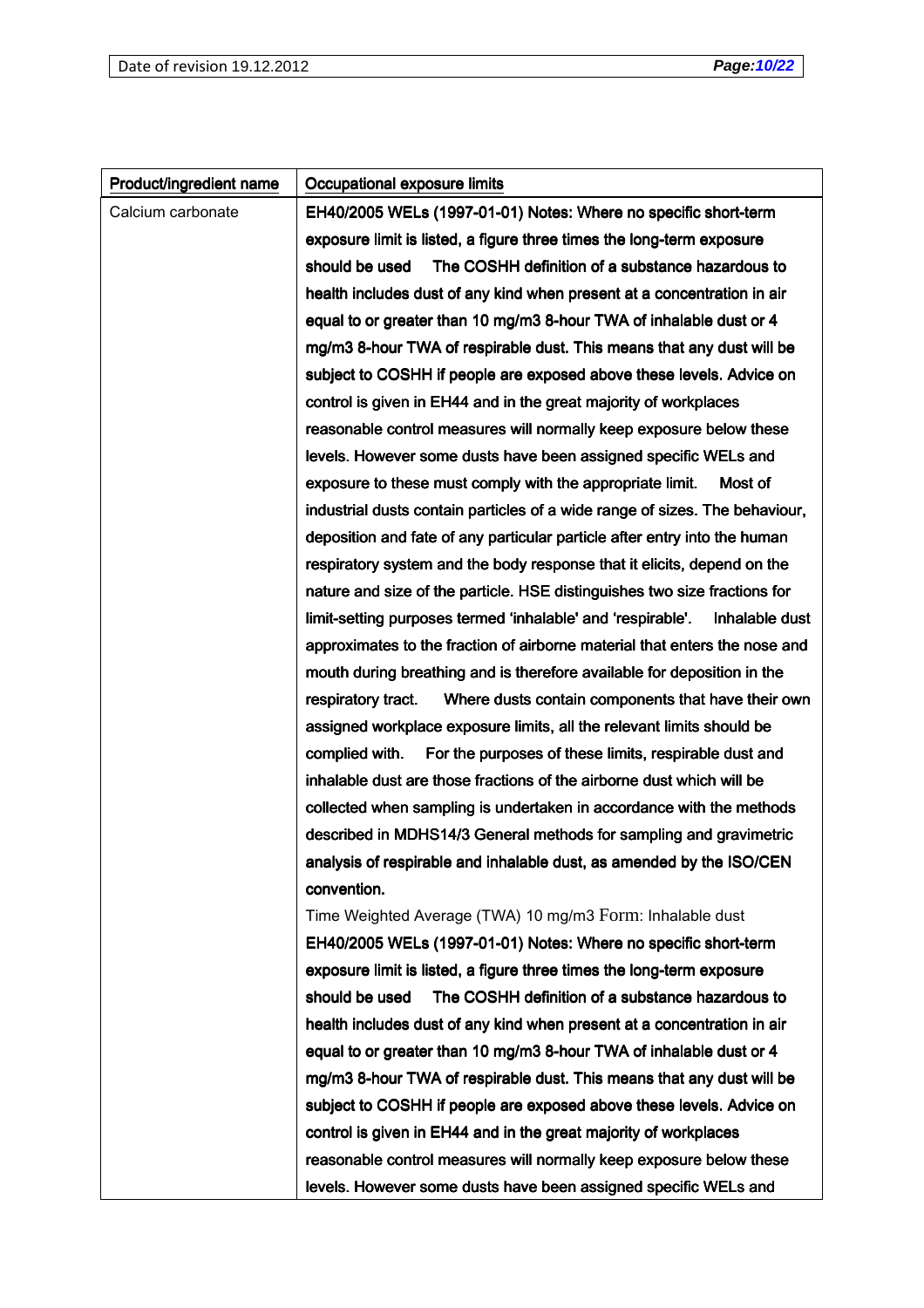| Product/ingredient name | Occupational exposure limits                                                  |  |  |
|-------------------------|-------------------------------------------------------------------------------|--|--|
| Calcium carbonate       | EH40/2005 WELs (1997-01-01) Notes: Where no specific short-term               |  |  |
|                         | exposure limit is listed, a figure three times the long-term exposure         |  |  |
|                         | The COSHH definition of a substance hazardous to<br>should be used            |  |  |
|                         | health includes dust of any kind when present at a concentration in air       |  |  |
|                         | equal to or greater than 10 mg/m3 8-hour TWA of inhalable dust or 4           |  |  |
|                         | mg/m3 8-hour TWA of respirable dust. This means that any dust will be         |  |  |
|                         | subject to COSHH if people are exposed above these levels. Advice on          |  |  |
|                         | control is given in EH44 and in the great majority of workplaces              |  |  |
|                         | reasonable control measures will normally keep exposure below these           |  |  |
|                         | levels. However some dusts have been assigned specific WELs and               |  |  |
|                         | exposure to these must comply with the appropriate limit.<br>Most of          |  |  |
|                         | industrial dusts contain particles of a wide range of sizes. The behaviour,   |  |  |
|                         | deposition and fate of any particular particle after entry into the human     |  |  |
|                         | respiratory system and the body response that it elicits, depend on the       |  |  |
|                         | nature and size of the particle. HSE distinguishes two size fractions for     |  |  |
|                         | limit-setting purposes termed 'inhalable' and 'respirable'.<br>Inhalable dust |  |  |
|                         | approximates to the fraction of airborne material that enters the nose and    |  |  |
|                         | mouth during breathing and is therefore available for deposition in the       |  |  |
|                         | Where dusts contain components that have their own<br>respiratory tract.      |  |  |
|                         | assigned workplace exposure limits, all the relevant limits should be         |  |  |
|                         | complied with.<br>For the purposes of these limits, respirable dust and       |  |  |
|                         | inhalable dust are those fractions of the airborne dust which will be         |  |  |
|                         | collected when sampling is undertaken in accordance with the methods          |  |  |
|                         | described in MDHS14/3 General methods for sampling and gravimetric            |  |  |
|                         | analysis of respirable and inhalable dust, as amended by the ISO/CEN          |  |  |
|                         | convention.                                                                   |  |  |
|                         | Time Weighted Average (TWA) 10 mg/m3 Form: Inhalable dust                     |  |  |
|                         | EH40/2005 WELs (1997-01-01) Notes: Where no specific short-term               |  |  |
|                         | exposure limit is listed, a figure three times the long-term exposure         |  |  |
|                         | should be used<br>The COSHH definition of a substance hazardous to            |  |  |
|                         | health includes dust of any kind when present at a concentration in air       |  |  |
|                         | equal to or greater than 10 mg/m3 8-hour TWA of inhalable dust or 4           |  |  |
|                         | mg/m3 8-hour TWA of respirable dust. This means that any dust will be         |  |  |
|                         | subject to COSHH if people are exposed above these levels. Advice on          |  |  |
|                         | control is given in EH44 and in the great majority of workplaces              |  |  |
|                         | reasonable control measures will normally keep exposure below these           |  |  |
|                         | levels. However some dusts have been assigned specific WELs and               |  |  |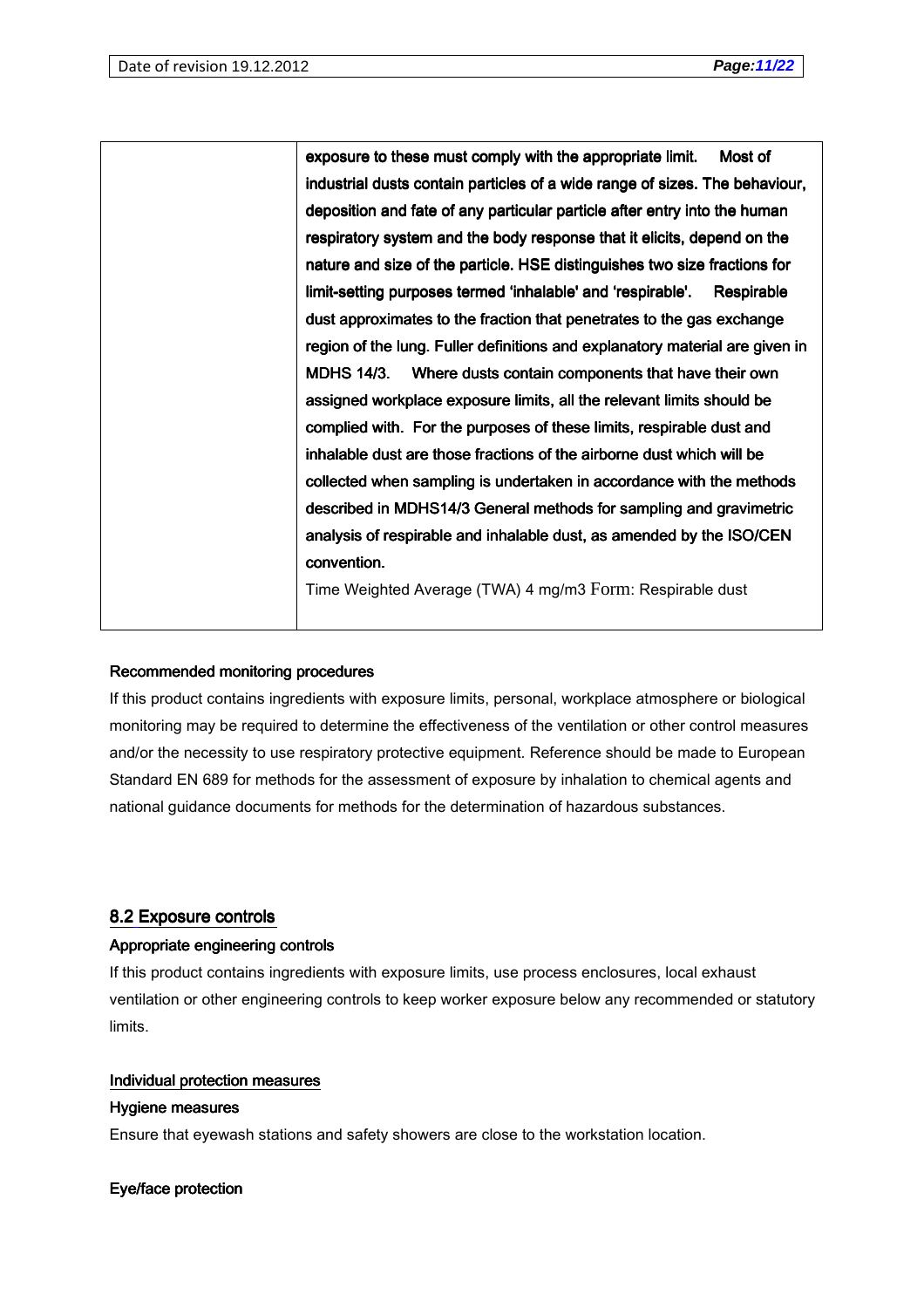exposure to these must comply with the appropriate limit. Most of industrial dusts contain particles of a wide range of sizes. The behaviour, deposition and fate of any particular particle after entry into the human respiratory system and the body response that it elicits, depend on the nature and size of the particle. HSE distinguishes two size fractions for limit-setting purposes termed 'inhalable' and 'respirable'. Respirable dust approximates to the fraction that penetrates to the gas exchange region of the lung. Fuller definitions and explanatory material are given in MDHS 14/3. Where dusts contain components that have their own assigned workplace exposure limits, all the relevant limits should be complied with. For the purposes of these limits, respirable dust and inhalable dust are those fractions of the airborne dust which will be collected when sampling is undertaken in accordance with the methods described in MDHS14/3 General methods for sampling and gravimetric analysis of respirable and inhalable dust, as amended by the ISO/CEN convention. Time Weighted Average (TWA) 4 mg/m3 Form: Respirable dust

### Recommended monitoring procedures

If this product contains ingredients with exposure limits, personal, workplace atmosphere or biological monitoring may be required to determine the effectiveness of the ventilation or other control measures and/or the necessity to use respiratory protective equipment. Reference should be made to European Standard EN 689 for methods for the assessment of exposure by inhalation to chemical agents and national guidance documents for methods for the determination of hazardous substances.

### 8.2 Exposure controls

### Appropriate engineering controls

If this product contains ingredients with exposure limits, use process enclosures, local exhaust ventilation or other engineering controls to keep worker exposure below any recommended or statutory limits.

#### Individual protection measures

### Hygiene measures

Ensure that eyewash stations and safety showers are close to the workstation location.

### Eye/face protection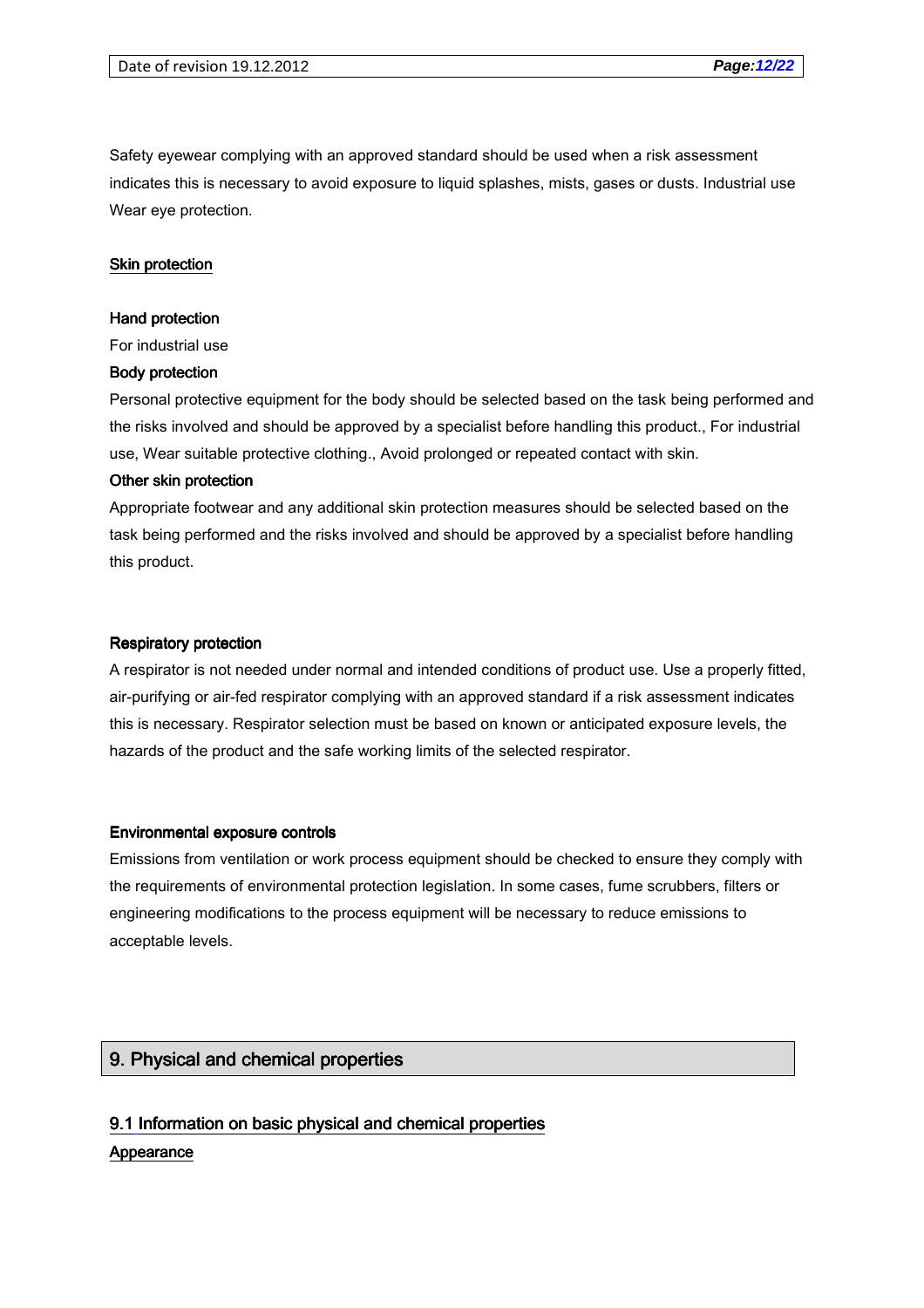Safety eyewear complying with an approved standard should be used when a risk assessment indicates this is necessary to avoid exposure to liquid splashes, mists, gases or dusts. Industrial use Wear eye protection.

#### Skin protection

#### Hand protection

For industrial use

#### Body protection

Personal protective equipment for the body should be selected based on the task being performed and the risks involved and should be approved by a specialist before handling this product., For industrial use, Wear suitable protective clothing., Avoid prolonged or repeated contact with skin.

#### Other skin protection

Appropriate footwear and any additional skin protection measures should be selected based on the task being performed and the risks involved and should be approved by a specialist before handling this product.

#### **Respiratory protection**

A respirator is not needed under normal and intended conditions of product use. Use a properly fitted, air-purifying or air-fed respirator complying with an approved standard if a risk assessment indicates this is necessary. Respirator selection must be based on known or anticipated exposure levels, the hazards of the product and the safe working limits of the selected respirator.

#### Environmental exposure controls Environmental exposure controls

Emissions from ventilation or work process equipment should be checked to ensure they comply with the requirements of environmental protection legislation. In some cases, fume scrubbers, filters or engineering modifications to the process equipment will be necessary to reduce emissions to acceptable levels.

## 9. Physical and chemical properties

## 9.1 Information on basic physical and chemical properties **Appearance**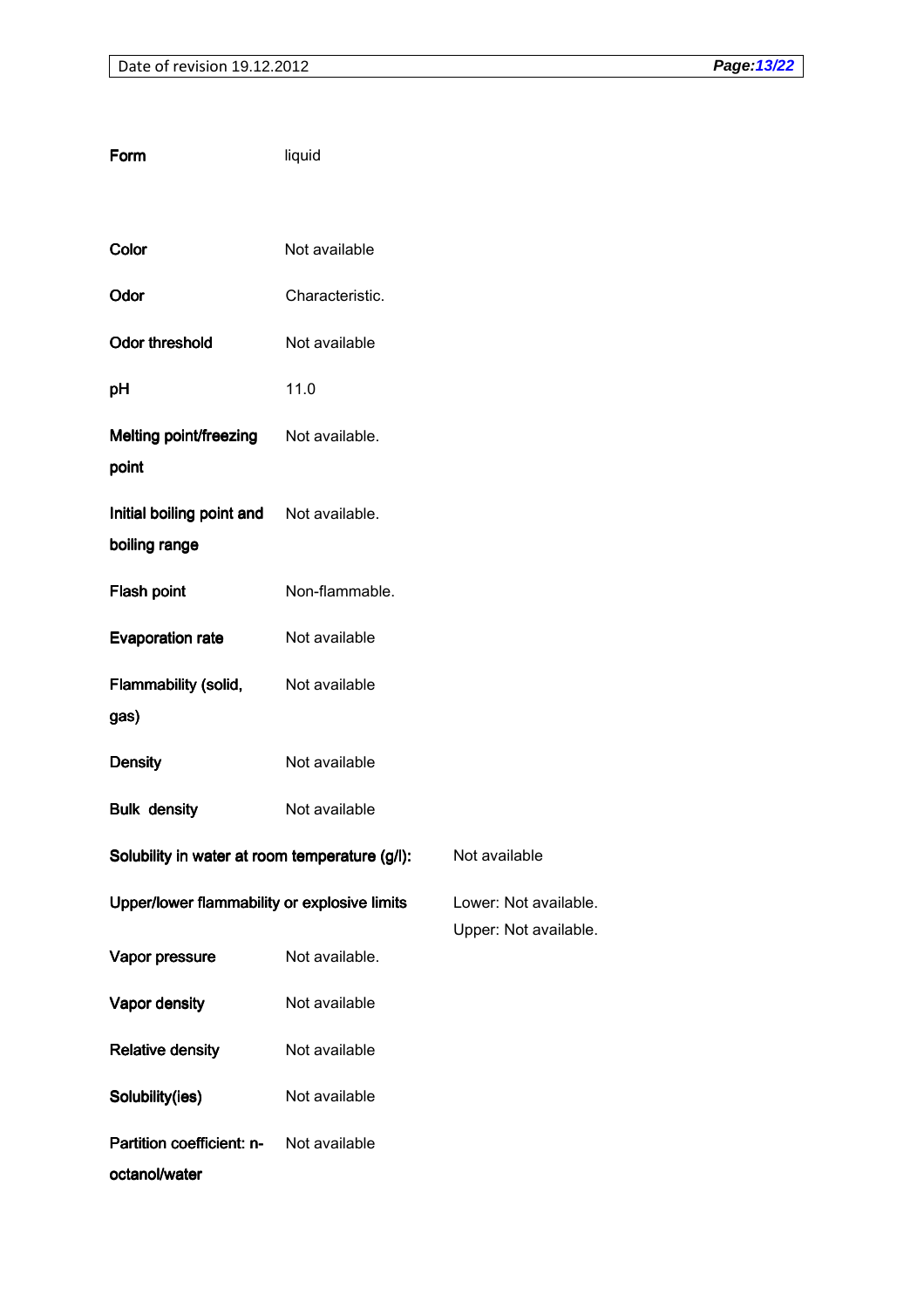| Form                                           | liquid          |                       |
|------------------------------------------------|-----------------|-----------------------|
|                                                |                 |                       |
| Color                                          | Not available   |                       |
| Odor                                           | Characteristic. |                       |
| <b>Odor threshold</b>                          | Not available   |                       |
| pH                                             | 11.0            |                       |
| Melting point/freezing<br>point                | Not available.  |                       |
| Initial boiling point and<br>boiling range     | Not available.  |                       |
| <b>Flash point</b>                             | Non-flammable.  |                       |
| <b>Evaporation rate</b>                        | Not available   |                       |
| Flammability (solid,<br>gas)                   | Not available   |                       |
| <b>Density</b>                                 | Not available   |                       |
| <b>Bulk density</b>                            | Not available   |                       |
| Solubility in water at room temperature (g/l): |                 | Not available         |
| Upper/lower flammability or explosive limits   |                 | Lower: Not available. |
| Vapor pressure                                 | Not available.  | Upper: Not available. |
| Vapor density                                  | Not available   |                       |
| <b>Relative density</b>                        | Not available   |                       |
| Solubility(ies)                                | Not available   |                       |
| Partition coefficient: n-<br>octanol/water     | Not available   |                       |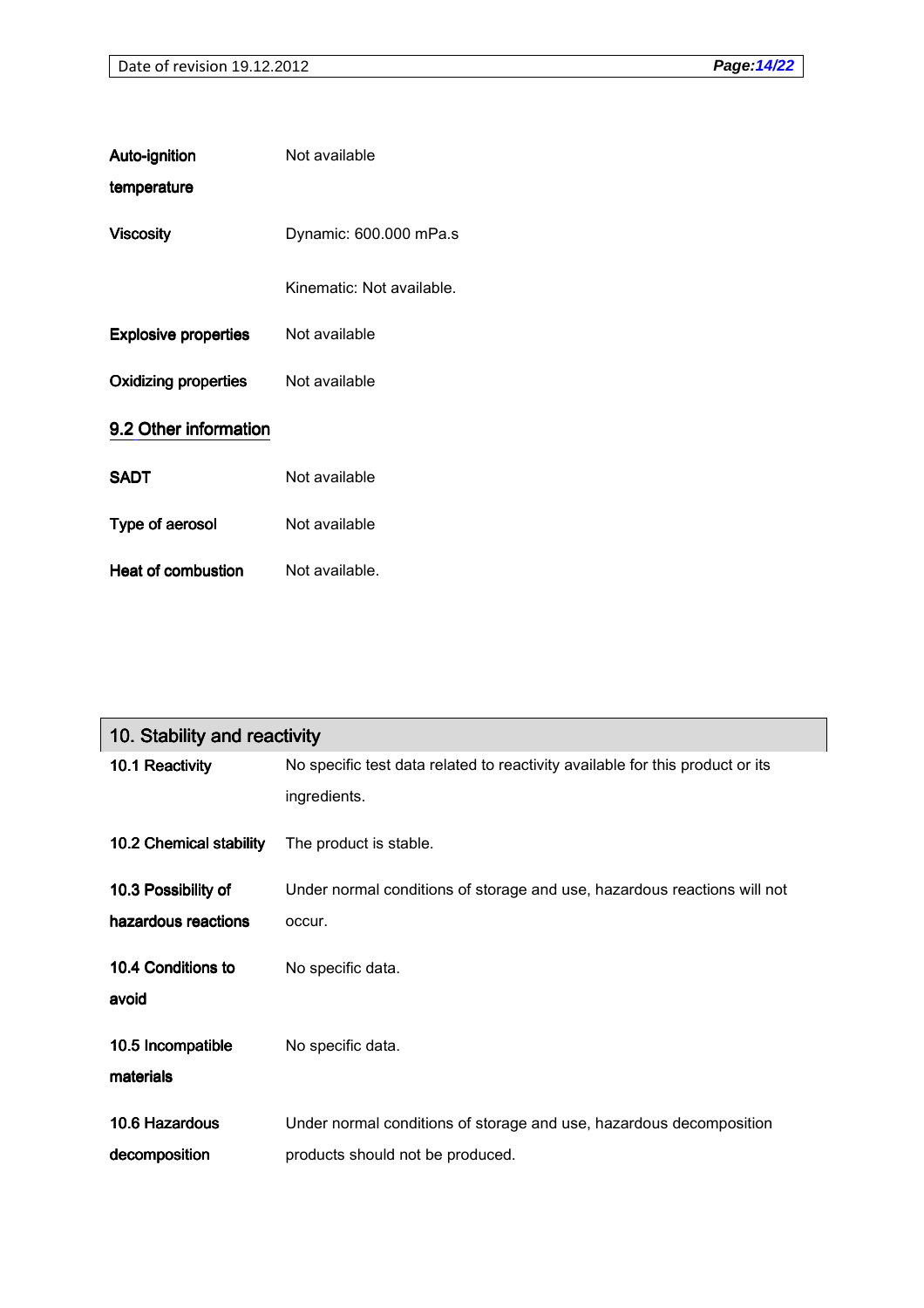| Auto-ignition               | Not available             |
|-----------------------------|---------------------------|
| temperature                 |                           |
| <b>Viscosity</b>            | Dynamic: 600.000 mPa.s    |
|                             | Kinematic: Not available. |
| <b>Explosive properties</b> | Not available             |
| <b>Oxidizing properties</b> | Not available             |
| 9.2 Other information       |                           |
| <b>SADT</b>                 | Not available             |
| Type of aerosol             | Not available             |
| Heat of combustion          | Not available.            |

| 10. Stability and reactivity   |                                                                                               |
|--------------------------------|-----------------------------------------------------------------------------------------------|
| 10.1 Reactivity                | No specific test data related to reactivity available for this product or its<br>ingredients. |
| 10.2 Chemical stability        | The product is stable.                                                                        |
| 10.3 Possibility of            | Under normal conditions of storage and use, hazardous reactions will not                      |
| hazardous reactions            | occur.                                                                                        |
| 10.4 Conditions to<br>avoid    | No specific data.                                                                             |
| 10.5 Incompatible<br>materials | No specific data.                                                                             |
| 10.6 Hazardous                 | Under normal conditions of storage and use, hazardous decomposition                           |
| decomposition                  | products should not be produced.                                                              |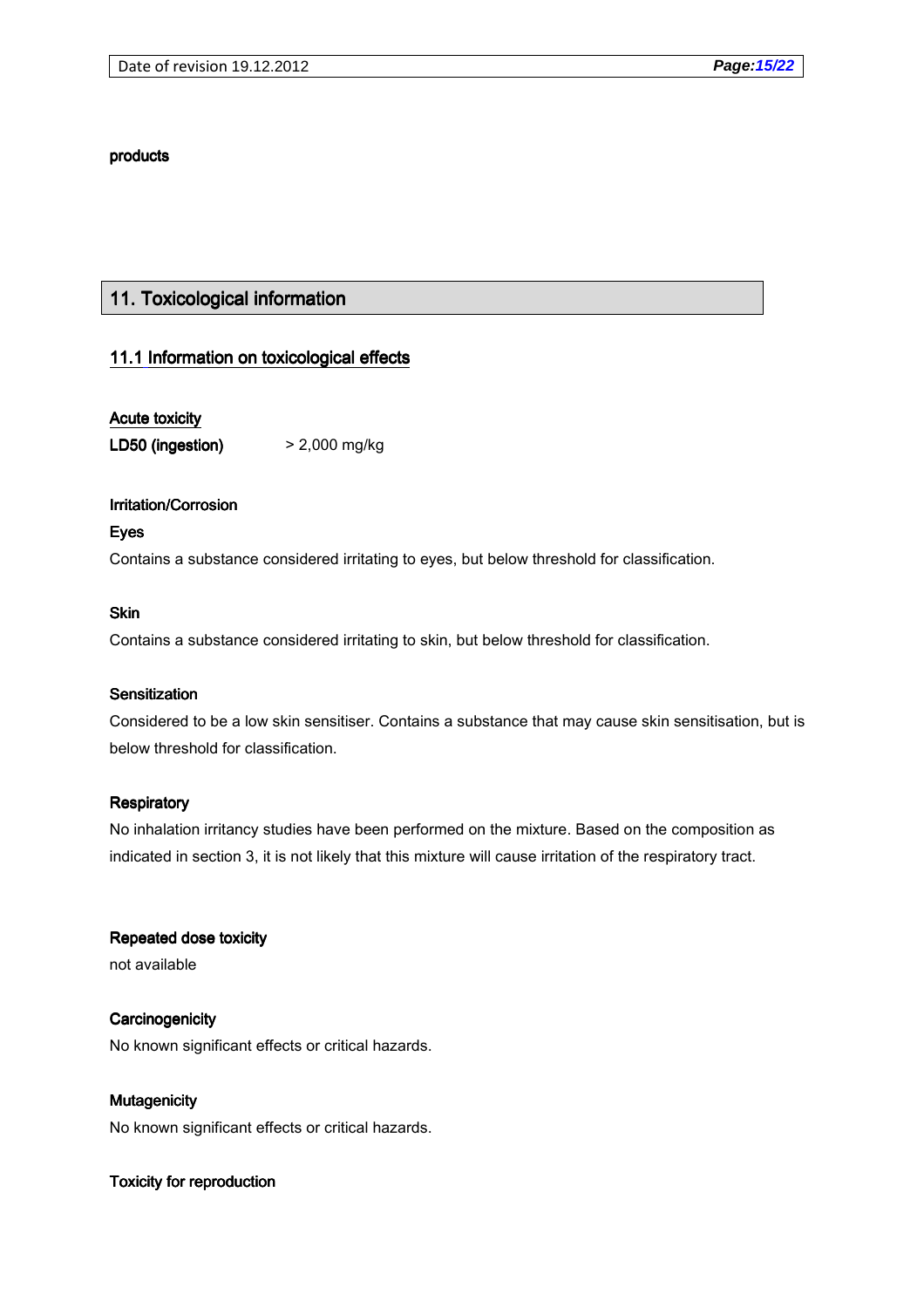#### products

## 11. Toxicological information

### 11.1 Information on toxicological effects

### Acute toxicity

LD50 (ingestion)  $>$  2,000 mg/kg

### Irritation/Corrosion

Eyes

Contains a substance considered irritating to eyes, but below threshold for classification.

#### Skin

Contains a substance considered irritating to skin, but below threshold for classification.

### Sensitization

Considered to be a low skin sensitiser. Contains a substance that may cause skin sensitisation, but is below threshold for classification.

### **Respiratory**

No inhalation irritancy studies have been performed on the mixture. Based on the composition as indicated in section 3, it is not likely that this mixture will cause irritation of the respiratory tract.

Repeated dose toxicity

not available

Mutagenicity Mutagenicity

**Carcinogenicity** No known significant effects or critical hazards.

No known significant effects or critical hazards.

### Toxicity for reproduction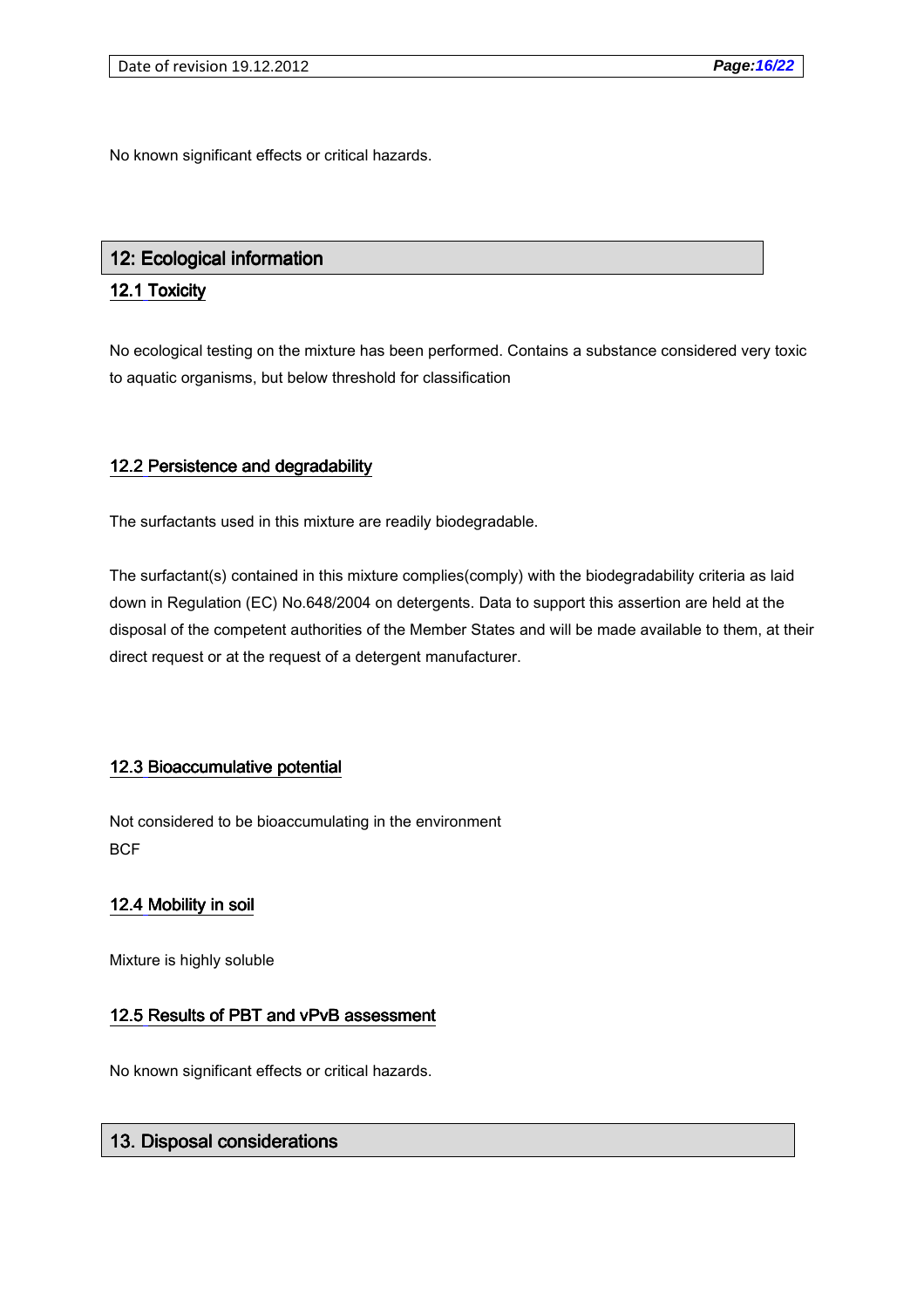No known significant effects or critical hazards.

## 12: Ecological information

## 12.1 Toxicity

No ecological testing on the mixture has been performed. Contains a substance considered very toxic to aquatic organisms, but below threshold for classification

## 12.2 Persistence and degradability

The surfactants used in this mixture are readily biodegradable.

The surfactant(s) contained in this mixture complies(comply) with the biodegradability criteria as laid down in Regulation (EC) No.648/2004 on detergents. Data to support this assertion are held at the disposal of the competent authorities of the Member States and will be made available to them, at their direct request or at the request of a detergent manufacturer.

## 12.3 Bioaccumulative potential

Not considered to be bioaccumulating in the environment **BCF** 

## 12.4 Mobility in soil

Mixture is highly soluble

## 12.5 Results of PBT and vPvB assessment

No known significant effects or critical hazards.

## 13. Disposal considerations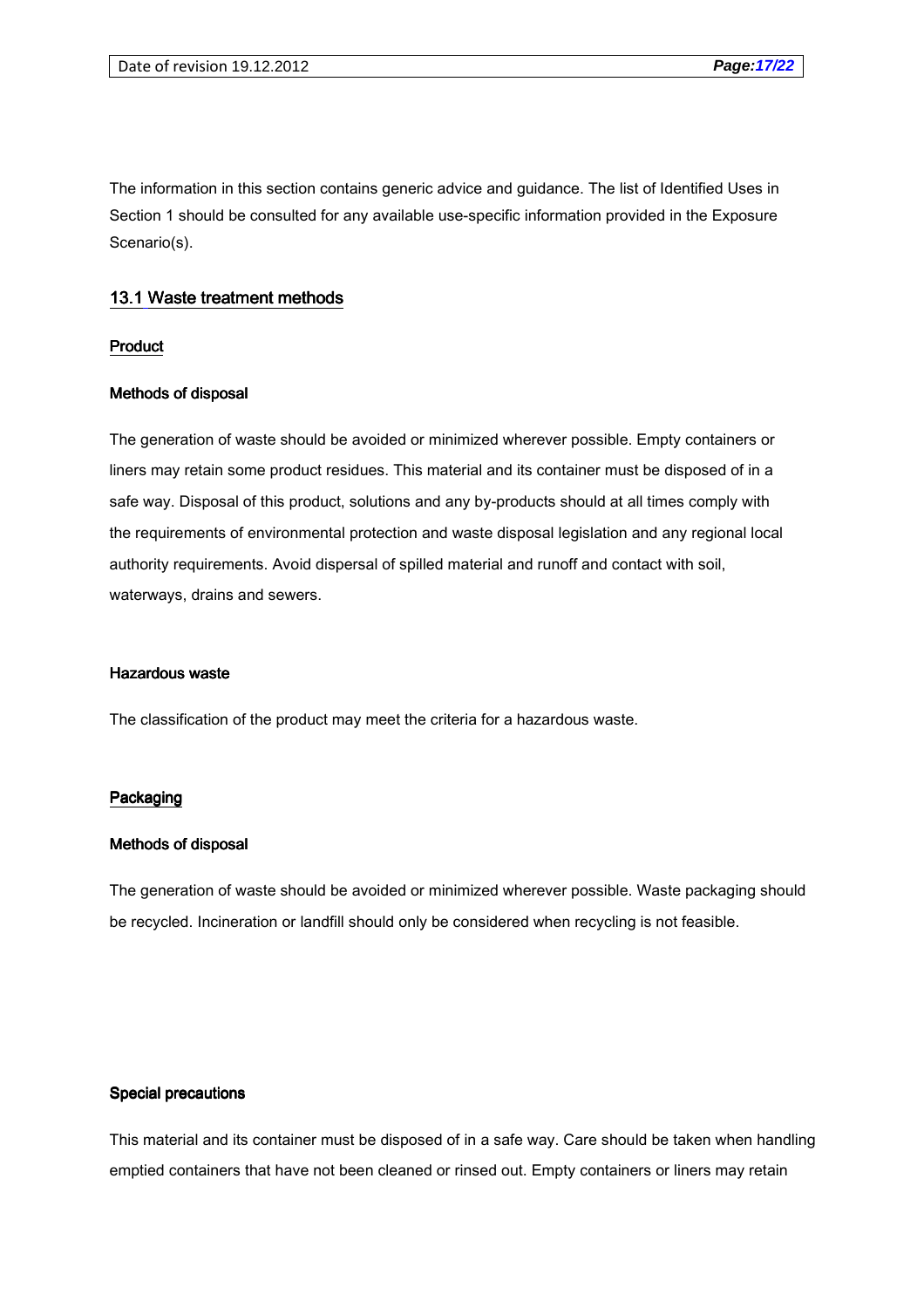The information in this section contains generic advice and guidance. The list of Identified Uses in Section 1 should be consulted for any available use-specific information provided in the Exposure Scenario(s).

#### 13.1 Waste treatment methods

#### Product

#### Methods of disposal

The generation of waste should be avoided or minimized wherever possible. Empty containers or liners may retain some product residues. This material and its container must be disposed of in a safe way. Disposal of this product, solutions and any by-products should at all times comply with the requirements of environmental protection and waste disposal legislation and any regional local authority requirements. Avoid dispersal of spilled material and runoff and contact with soil, waterways, drains and sewers.

#### Hazardous waste

The classification of the product may meet the criteria for a hazardous waste.

#### Packaging

#### Methods of disposal

The generation of waste should be avoided or minimized wherever possible. Waste packaging should be recycled. Incineration or landfill should only be considered when recycling is not feasible.

#### Special precautions

This material and its container must be disposed of in a safe way. Care should be taken when handling emptied containers that have not been cleaned or rinsed out. Empty containers or liners may retain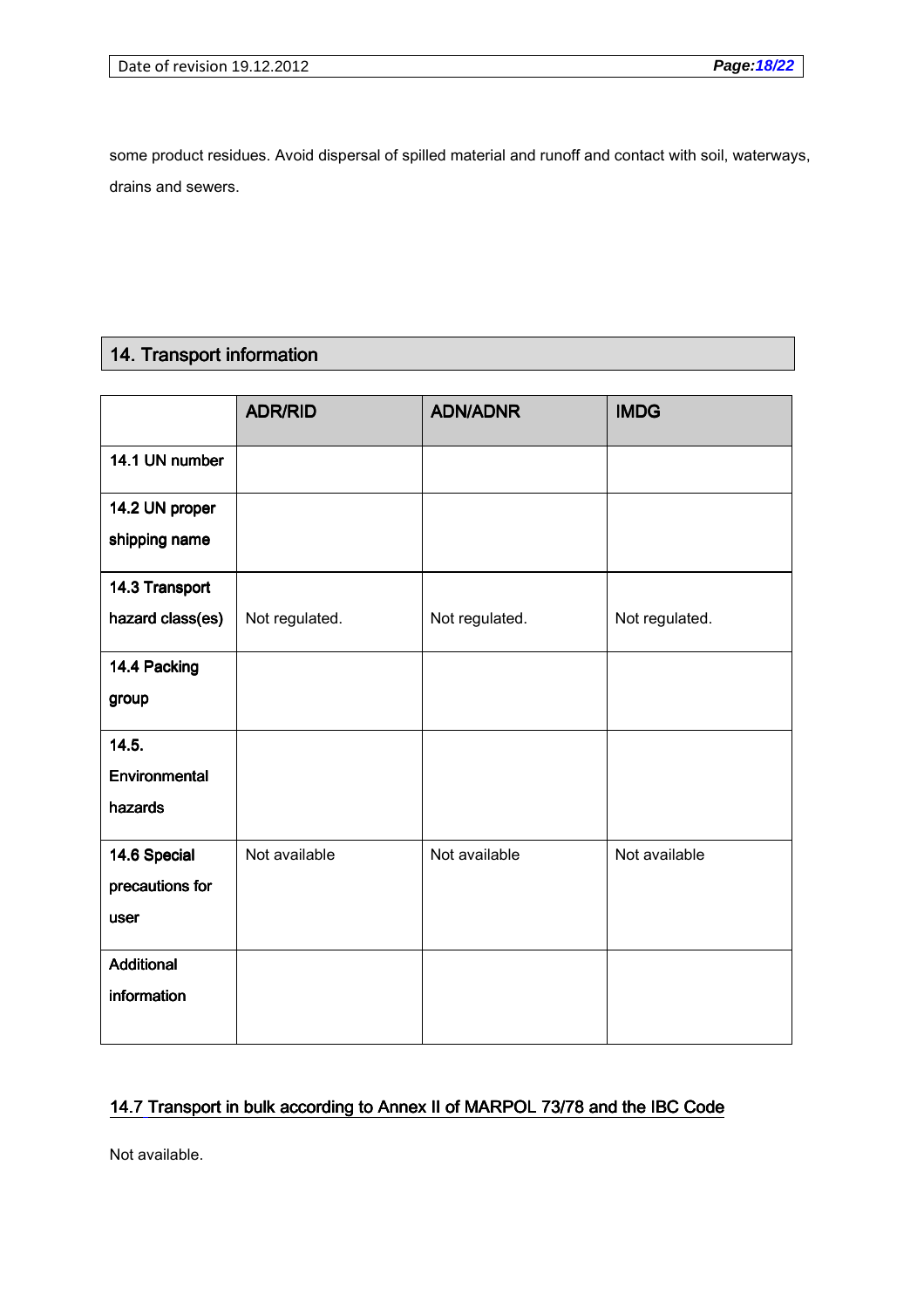some product residues. Avoid dispersal of spilled material and runoff and contact with soil, waterways, drains and sewers.

## 14. Transport information

|                                 | <b>ADR/RID</b> | <b>ADN/ADNR</b> | <b>IMDG</b>    |
|---------------------------------|----------------|-----------------|----------------|
| 14.1 UN number                  |                |                 |                |
| 14.2 UN proper<br>shipping name |                |                 |                |
| 14.3 Transport                  |                |                 |                |
| hazard class(es)                | Not regulated. | Not regulated.  | Not regulated. |
| 14.4 Packing                    |                |                 |                |
| group                           |                |                 |                |
| 14.5.                           |                |                 |                |
| Environmental                   |                |                 |                |
| hazards                         |                |                 |                |
| 14.6 Special                    | Not available  | Not available   | Not available  |
| precautions for                 |                |                 |                |
| user                            |                |                 |                |
| Additional                      |                |                 |                |
| information                     |                |                 |                |

## 14.7 Transport in bulk according to Annex II of MARPOL 73/78 and the IBC Code

Not available.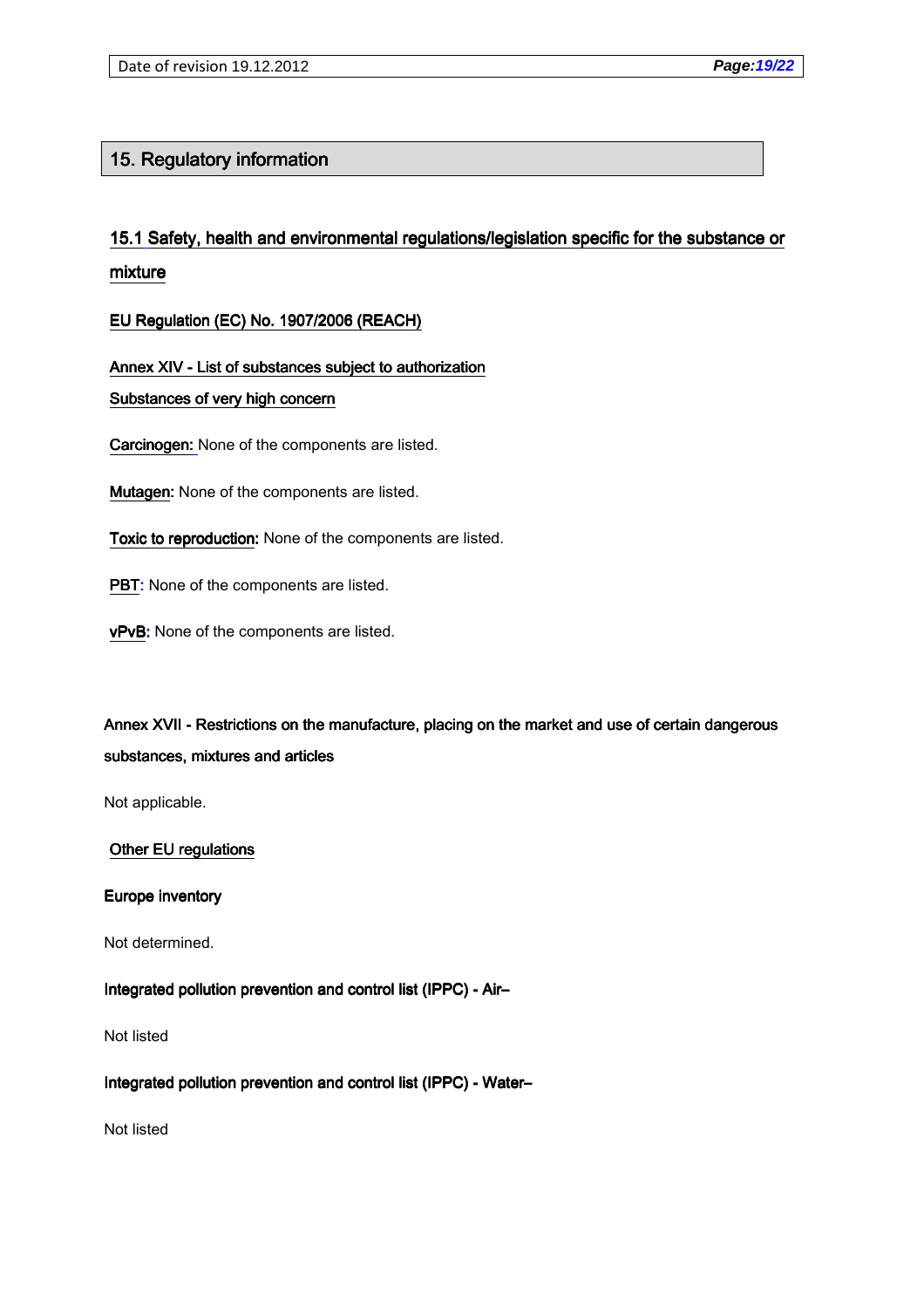## 15. Regulatory information

# 15.1 Safety, health and environmental regulations/legislation specific for the substance or mixture

EU Regulation (EC) No. 1907/2006 (REACH)

Annex XIV - List of substances subject to authorization

### Substances of very high concern

Carcinogen: None of the components are listed.

Mutagen: None of the components are listed.

Toxic to reproduction: None of the components are listed.

PBT: None of the components are listed.

vPvB: None of the components are listed.

Annex XVII - Restrictions on the manufacture, placing on the market and use of certain dangerous substances, mixtures and articles

Not applicable.

### Other EU regulations

### Europe inventory

Not determined.

## Integrated pollution prevention and control list (IPPC) - Air-

Not listed

## Integrated pollution prevention and control list (IPPC) - Water-

Not listed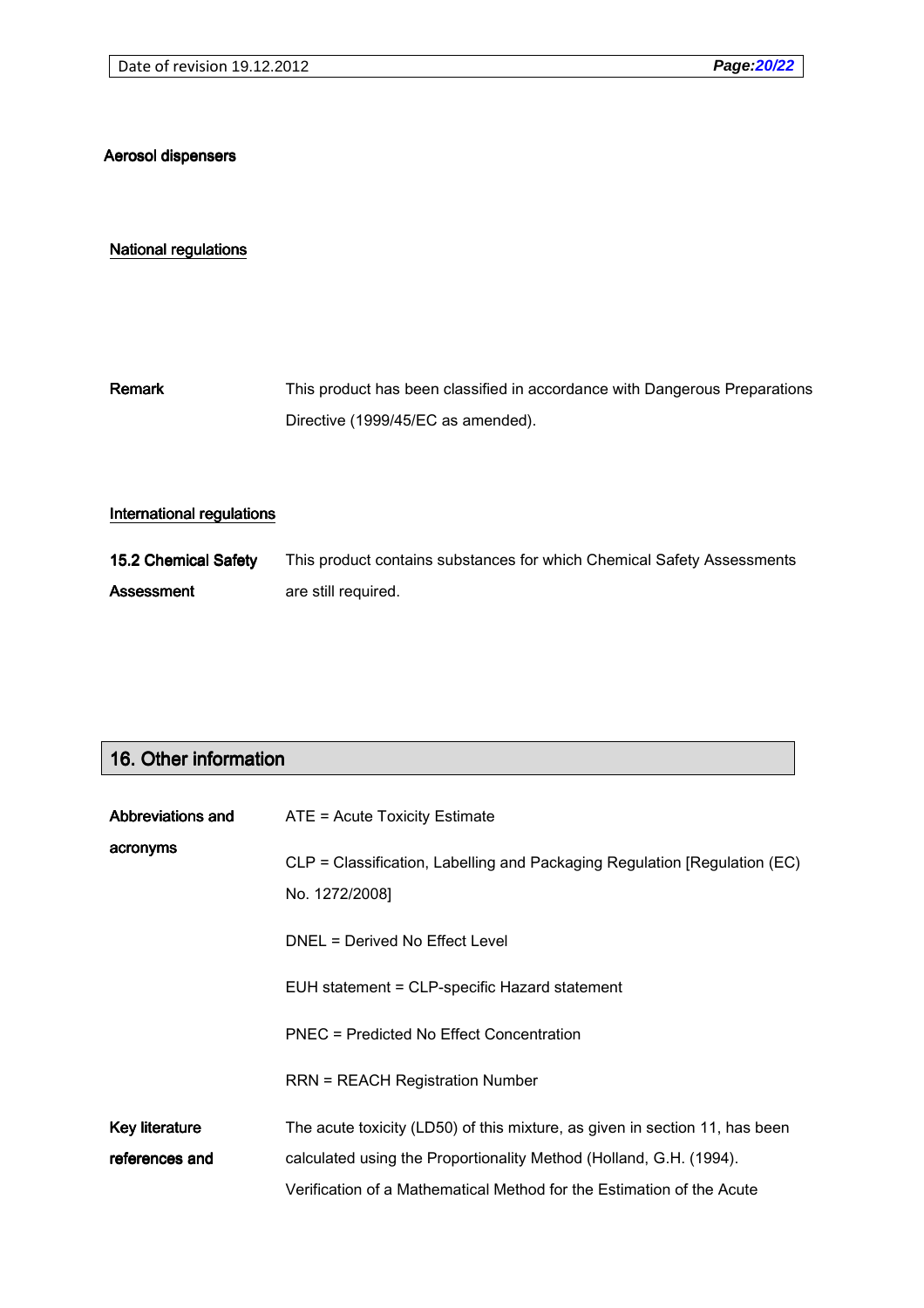### Aerosol dispensers

#### National regulations

Remark This product has been classified in accordance with Dangerous Preparations Directive (1999/45/EC as amended).

#### International regulations

15.2 Chemical Safety Assessment This product contains substances for which Chemical Safety Assessments are still required.

## 16. Other information

| Abbreviations and     | $ATE = Acute Toxicity Estimate$                                                             |
|-----------------------|---------------------------------------------------------------------------------------------|
| acronyms              | CLP = Classification, Labelling and Packaging Regulation [Regulation (EC)<br>No. 1272/2008] |
|                       | DNEL = Derived No Effect Level                                                              |
|                       | EUH statement = CLP-specific Hazard statement                                               |
|                       | PNEC = Predicted No Effect Concentration                                                    |
|                       | <b>RRN = REACH Registration Number</b>                                                      |
| <b>Key literature</b> | The acute toxicity (LD50) of this mixture, as given in section 11, has been                 |
| references and        | calculated using the Proportionality Method (Holland, G.H. (1994).                          |
|                       | Verification of a Mathematical Method for the Estimation of the Acute                       |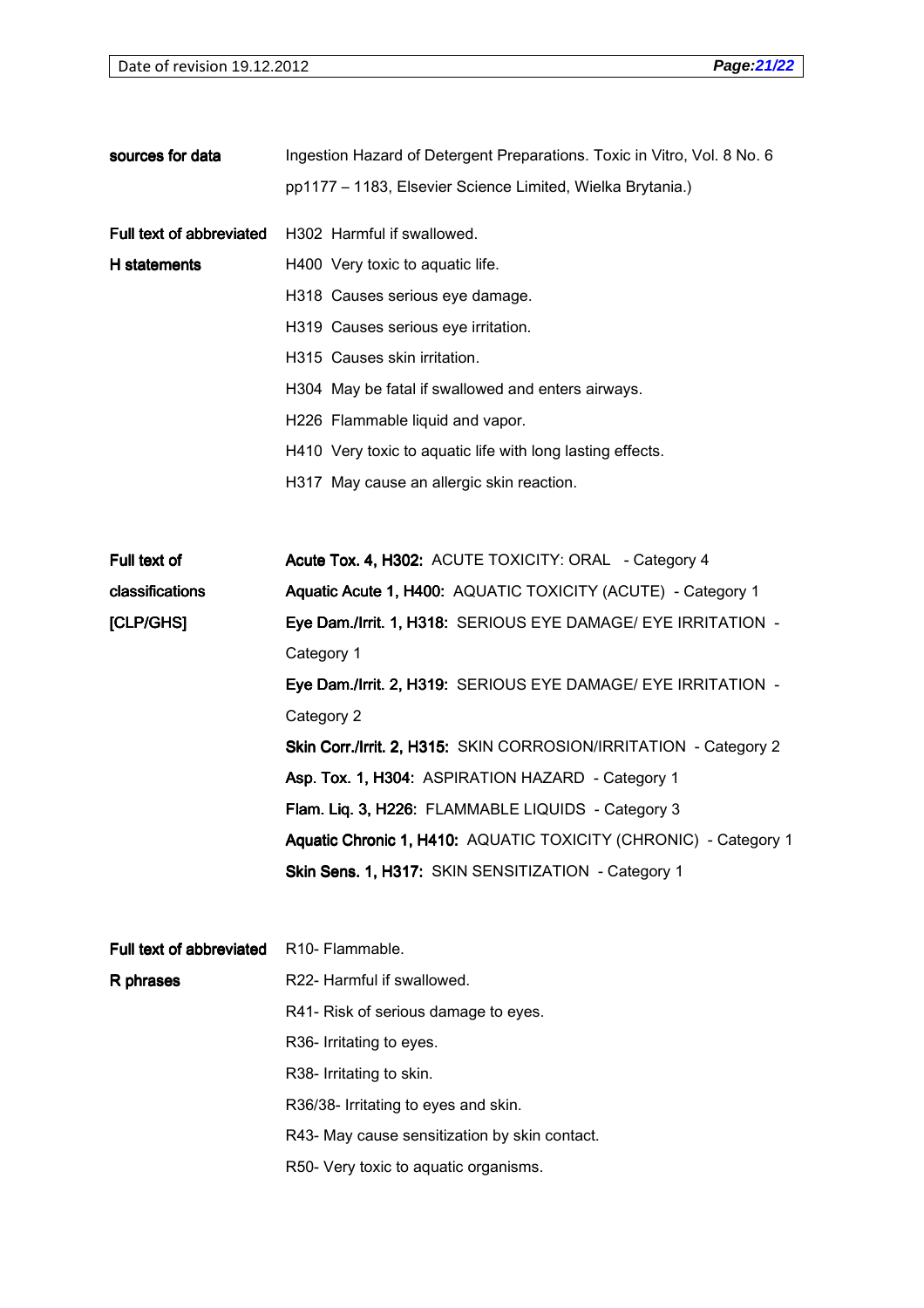| sources for data         | Ingestion Hazard of Detergent Preparations. Toxic in Vitro, Vol. 8 No. 6 |
|--------------------------|--------------------------------------------------------------------------|
|                          | pp1177 - 1183, Elsevier Science Limited, Wielka Brytania.)               |
| Full text of abbreviated | H302 Harmful if swallowed.                                               |
| H statements             | H400 Very toxic to aquatic life.                                         |
|                          | H318 Causes serious eye damage.                                          |
|                          | H319 Causes serious eye irritation.                                      |
|                          | H315 Causes skin irritation.                                             |
|                          | H304 May be fatal if swallowed and enters airways.                       |
|                          | H226 Flammable liquid and vapor.                                         |
|                          | H410 Very toxic to aquatic life with long lasting effects.               |
|                          | H317 May cause an allergic skin reaction.                                |
|                          |                                                                          |
| Full text of             | Acute Tox. 4, H302: ACUTE TOXICITY: ORAL - Category 4                    |
| classifications          | Aquatic Acute 1, H400: AQUATIC TOXICITY (ACUTE) - Category 1             |
| [CLP/GHS]                | Eye Dam./Irrit. 1, H318: SERIOUS EYE DAMAGE/ EYE IRRITATION -            |
|                          | Category 1                                                               |
|                          | Eye Dam./Irrit. 2, H319: SERIOUS EYE DAMAGE/ EYE IRRITATION -            |
|                          | Category 2                                                               |
|                          | Skin Corr./Irrit. 2, H315: SKIN CORROSION/IRRITATION - Category 2        |
|                          | Asp. Tox. 1, H304: ASPIRATION HAZARD - Category 1                        |
|                          | Flam. Liq. 3, H226: FLAMMABLE LIQUIDS - Category 3                       |
|                          | Aquatic Chronic 1, H410: AQUATIC TOXICITY (CHRONIC) - Category 1         |
|                          | Skin Sens. 1, H317: SKIN SENSITIZATION - Category 1                      |
|                          |                                                                          |
| Full text of abbreviated | R <sub>10</sub> - Flammable.                                             |
| R phrases                | R22- Harmful if swallowed.                                               |
|                          | R41- Risk of serious damage to eyes.                                     |
|                          | R36- Irritating to eyes.                                                 |
|                          | R38- Irritating to skin.                                                 |
|                          | R36/38- Irritating to eyes and skin.                                     |
|                          | R43- May cause sensitization by skin contact.                            |
|                          | R50- Very toxic to aquatic organisms.                                    |